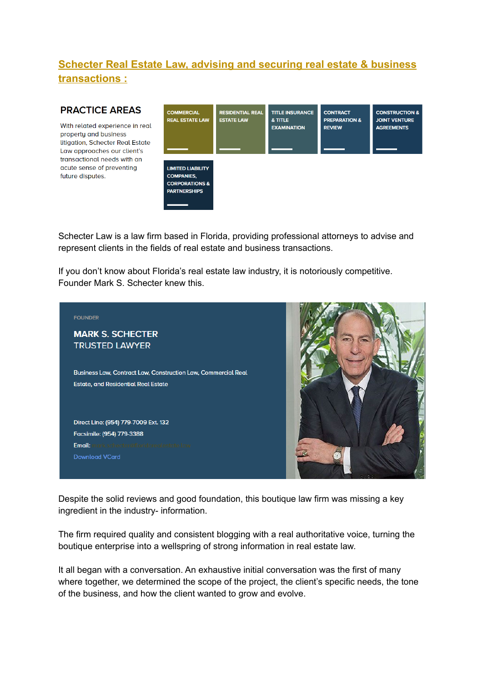# **Schecter Real Estate Law, advising and securing real estate & business transactions :**

#### **PRACTICE AREAS**

With related experience in real property and business litigation, Schecter Real Estate Law approaches our client's transactional needs with an acute sense of preventing future disputes.



Schecter Law is a law firm based in Florida, providing professional attorneys to advise and represent clients in the fields of real estate and business transactions.

If you don't know about Florida's real estate law industry, it is notoriously competitive. Founder Mark S. Schecter knew this.



Despite the solid reviews and good foundation, this boutique law firm was missing a key ingredient in the industry- information.

The firm required quality and consistent blogging with a real authoritative voice, turning the boutique enterprise into a wellspring of strong information in real estate law.

It all began with a conversation. An exhaustive initial conversation was the first of many where together, we determined the scope of the project, the client's specific needs, the tone of the business, and how the client wanted to grow and evolve.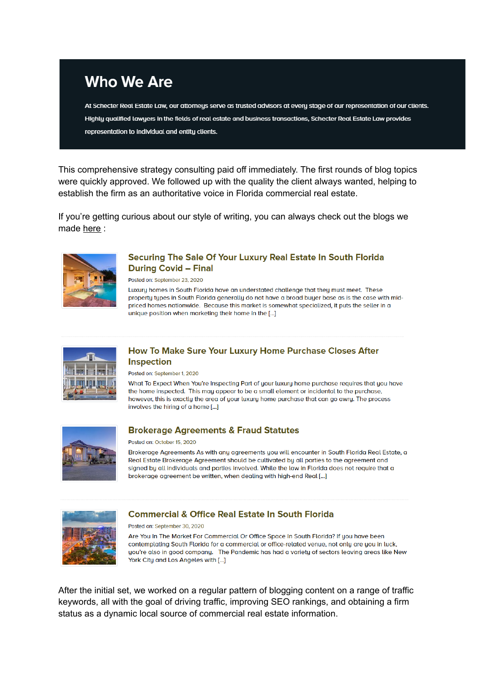

This comprehensive strategy consulting paid off immediately. The first rounds of blog topics were quickly approved. We followed up with the quality the client always wanted, helping to establish the firm as an authoritative voice in Florida commercial real estate.

If you're getting curious about our style of writing, you can always check out the blogs we made here:



#### Securing The Sale Of Your Luxury Real Estate In South Florida **During Covid - Final**

Posted on: September 23, 2020

Luxury homes in South Florida have an understated challenge that they must meet. These property types in South Florida generally do not have a broad buyer base as is the case with midpriced homes nationwide. Because this market is somewhat specialized, it puts the seller in a unique position when marketing their home in the [...]



## How To Make Sure Your Luxury Home Purchase Closes After **Inspection**

Posted on: September 1, 2020

What To Expect When You're Inspecting Part of your luxury home purchase requires that you have the home inspected. This may appear to be a small element or incidental to the purchase, however, this is exactly the area of your luxury home purchase that can go awry. The process involves the hiring of a home [...]



### **Brokerage Agreements & Fraud Statutes**

#### Posted on: October 15, 2020

Brokerage Agreements As with any agreements you will encounter in South Florida Real Estate, a Real Estate Brokerage Agreement should be cultivated by all parties to the agreement and signed by all individuals and parties involved. While the law in Florida does not require that a brokerage agreement be written, when dealing with high-end Real [...]



### **Commercial & Office Real Estate In South Florida**

#### Posted on: September 30, 2020

Are You In The Market For Commercial Or Office Space In South Florida? If you have been contemplating South Florida for a commercial or office-related venue, not only are you in luck, you're also in good company. The Pandemic has had a variety of sectors leaving areas like New York City and Los Angeles with [...]

After the initial set, we worked on a regular pattern of blogging content on a range of traffic keywords, all with the goal of driving traffic, improving SEO rankings, and obtaining a firm status as a dynamic local source of commercial real estate information.